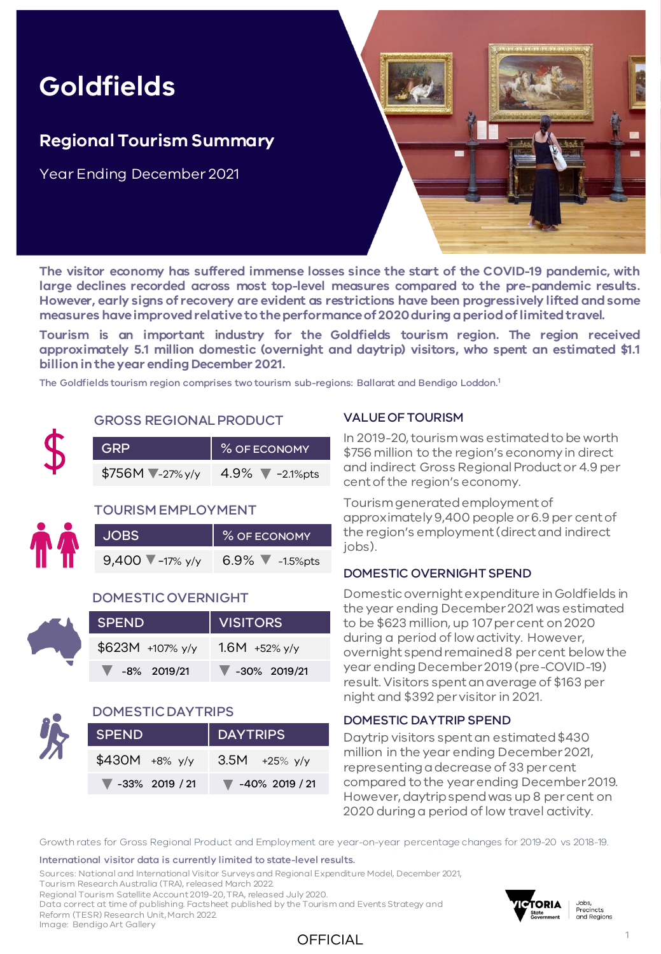# **Goldfields**

## **Regional Tourism Summary**

Year Ending December 2021



**The visitor economy has suffered immense losses since the start of the COVID-19 pandemic, with large declines recorded across most top-level measures compared to the pre-pandemic results. However, early signs of recovery are evident as restrictions have been progressively lifted andsome measures haveimprovedrelativeto theperformanceof 2020duringaperiodoflimitedtravel.**

**Tourism is an important industry for the Goldfields tourism region. The region received approximately 5.1 million domestic (overnight and daytrip) visitors, who spent an estimated \$1.1 billion intheyear ending December 2021.**

The Goldfields tourism region comprises two tourism sub-regions: Ballarat and Bendigo Loddon.<sup>1</sup>

### GROSS REGIONAL PRODUCT

| <b>GRP</b>         | % OF ECONOMY                        |  |  |
|--------------------|-------------------------------------|--|--|
| $$756M$ $27\%$ y/y | 4.9% $\blacktriangledown$ -2.1% pts |  |  |

### TOURISM EMPLOYMENT

| <b>JOBS</b>                         | % OF ECONOMY                       |
|-------------------------------------|------------------------------------|
| 9,400 $\sqrt{\frac{1}{2}}$ -17% y/y | 6.9% $\blacktriangledown$ -1.5%pts |

#### DOMESTIC OVERNIGHT

| <b>SPEND</b>           | VISITORS                          |  |  |  |  |
|------------------------|-----------------------------------|--|--|--|--|
| $$623M +107\%$ y/y     | $1.6M + 52\%$ y/y                 |  |  |  |  |
| $\sqrt{8}$ -8% 2019/21 | $\blacktriangledown$ -30% 2019/21 |  |  |  |  |

### DOMESTIC DAYTRIPS

| <b>SPEND</b>                        | DAYTRIPS                            |  |  |  |  |
|-------------------------------------|-------------------------------------|--|--|--|--|
| $$430M +8\%$ y/y                    | $3.5M + 25\%$ y/y                   |  |  |  |  |
| $\blacktriangledown$ -33% 2019 / 21 | $\blacktriangledown$ -40% 2019 / 21 |  |  |  |  |

#### VALUE OF TOURISM

In 2019-20, tourism was estimated to be worth \$756 million to the region's economy in direct and indirect Gross Regional Product or 4.9 per cent of the region's economy.

Tourism generated employment of approximately 9,400 people or 6.9 per cent of the region's employment (direct and indirect iobs).

### DOMESTIC OVERNIGHT SPEND

Domestic overnight expenditure in Goldfields in the year ending December 2021 was estimated to be \$623 million, up 107 per cent on 2020 during a period of low activity. However, overnight spend remained 8 per cent below the year ending December 2019 (pre-COVID-19) result. Visitors spent an average of \$163 per night and \$392 per visitor in 2021.

#### DOMESTIC DAYTRIP SPEND

Daytrip visitors spent an estimated \$430 million in the year ending December 2021, representing a decrease of 33 per cent compared to the year ending December 2019. However, daytrip spend was up 8 per cent on 2020 during a period of low travel activity.

Growth rates for Gross Regional Product and Employment are year-on-year percentage changes for 2019-20 vs 2018-19.

#### International visitor data is currently limited to state-level results.

Sources: National and International Visitor Surveys and Regional Expenditure Model, December 2021, Tourism Research Australia (TRA), released March 2022.

Regional Tourism Satellite Account 2019-20, TRA, released July 2020.

Data correct at time of publishing. Factsheet published by the Tourism and Events Strategy and Reform (TESR) Research Unit, March 2022.

Image: Bendigo Art Gallery



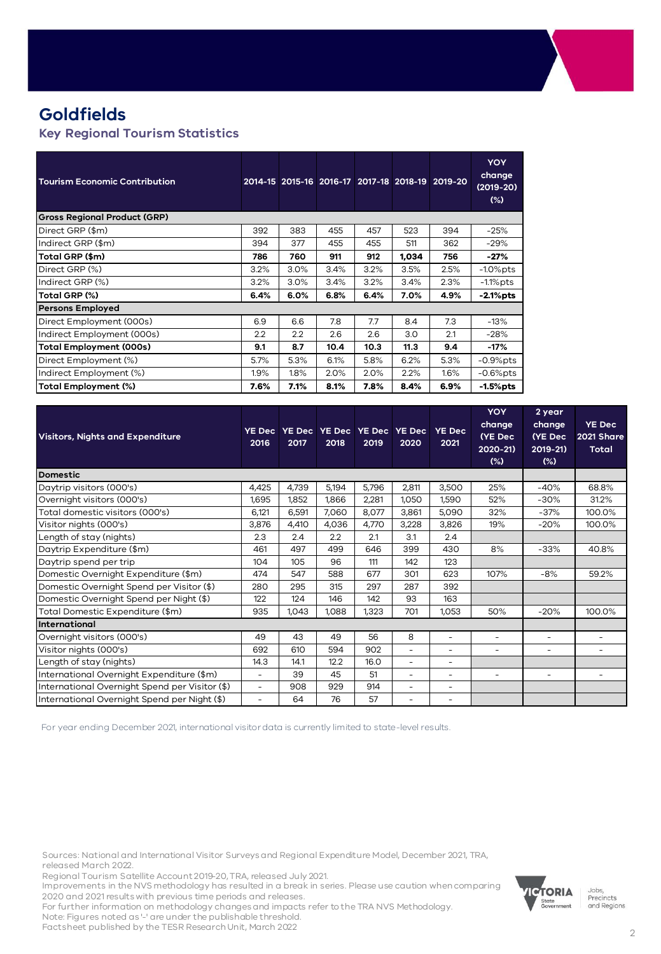## **Goldfields**

#### **Key Regional Tourism Statistics**

| <b>Tourism Economic Contribution</b> |                  |      |      |      |       | 2014-15 2015-16 2016-17 2017-18 2018-19 2019-20 | <b>YOY</b><br>change<br>(2019-20)<br>$(\%)$ |
|--------------------------------------|------------------|------|------|------|-------|-------------------------------------------------|---------------------------------------------|
| <b>Gross Regional Product (GRP)</b>  |                  |      |      |      |       |                                                 |                                             |
| Direct GRP (\$m)                     | 392              | 383  | 455  | 457  | 523   | 394                                             | $-25%$                                      |
| Indirect GRP (\$m)                   | 394              | 377  | 455  | 455  | 511   | 362                                             | $-29%$                                      |
| Total GRP (\$m)                      | 786              | 760  | 911  | 912  | 1,034 | 756                                             | -27%                                        |
| Direct GRP (%)                       | 3.2%             | 3.0% | 3.4% | 3.2% | 3.5%  | 2.5%                                            | $-1.0\%$ pts                                |
| Indirect GRP (%)                     | 3.2%             | 3.0% | 3.4% | 3.2% | 3.4%  | 2.3%                                            | -1.1%pts                                    |
| Total GRP (%)                        | 6.4%             | 6.0% | 6.8% | 6.4% | 7.0%  | 4.9%                                            | -2.1%pts                                    |
| <b>Persons Employed</b>              |                  |      |      |      |       |                                                 |                                             |
| Direct Employment (000s)             | 6.9              | 6.6  | 7.8  | 7.7  | 8.4   | 7.3                                             | -13%                                        |
| Indirect Employment (000s)           | $2.2\phantom{0}$ | 2.2  | 2.6  | 2.6  | 3.0   | 2.1                                             | $-28%$                                      |
| <b>Total Employment (000s)</b>       | 9.1              | 8.7  | 10.4 | 10.3 | 11.3  | 9.4                                             | -17%                                        |
| Direct Employment (%)                | 5.7%             | 5.3% | 6.1% | 5.8% | 6.2%  | 5.3%                                            | $-0.9\%$ pts                                |
| Indirect Employment (%)              | 1.9%             | 1.8% | 2.0% | 2.0% | 2.2%  | 1.6%                                            | $-0.6\%$ pts                                |
| Total Employment (%)                 | 7.6%             | 7.1% | 8.1% | 7.8% | 8.4%  | 6.9%                                            | $-1.5%$ pts                                 |

| <b>Visitors, Nights and Expenditure</b>        | <b>YE Dec</b><br>2016 | 2017  | YE Dec   YE Dec   YE Dec  <br>2018 | 2019  | <b>YE Dec</b><br>2020 | <b>YE Dec</b><br>2021    | <b>YOY</b><br>change<br>(YE Dec<br>2020-21)<br>$(\%)$ | 2 year<br>change<br>(YE Dec<br>2019-21)<br>$(\%)$ | <b>YE Dec</b><br>2021 Share<br><b>Total</b> |
|------------------------------------------------|-----------------------|-------|------------------------------------|-------|-----------------------|--------------------------|-------------------------------------------------------|---------------------------------------------------|---------------------------------------------|
| <b>Domestic</b>                                |                       |       |                                    |       |                       |                          |                                                       |                                                   |                                             |
| Daytrip visitors (000's)                       | 4,425                 | 4,739 | 5,194                              | 5,796 | 2,811                 | 3,500                    | 25%                                                   | $-40%$                                            | 68.8%                                       |
| Overnight visitors (000's)                     | 1,695                 | 1,852 | 1,866                              | 2,281 | 1,050                 | 1,590                    | 52%                                                   | $-30%$                                            | 31.2%                                       |
| Total domestic visitors (000's)                | 6.121                 | 6,591 | 7,060                              | 8,077 | 3,861                 | 5,090                    | 32%                                                   | $-37%$                                            | 100.0%                                      |
| Visitor nights (000's)                         | 3,876                 | 4,410 | 4,036                              | 4,770 | 3,228                 | 3,826                    | 19%                                                   | $-20%$                                            | 100.0%                                      |
| Length of stay (nights)                        | 2.3                   | 2.4   | 2.2                                | 2.1   | 3.1                   | 2.4                      |                                                       |                                                   |                                             |
| Daytrip Expenditure (\$m)                      | 461                   | 497   | 499                                | 646   | 399                   | 430                      | 8%                                                    | $-33%$                                            | 40.8%                                       |
| Daytrip spend per trip                         | 104                   | 105   | 96                                 | 111   | 142                   | 123                      |                                                       |                                                   |                                             |
| Domestic Overnight Expenditure (\$m)           | 474                   | 547   | 588                                | 677   | 301                   | 623                      | 107%                                                  | $-8%$                                             | 59.2%                                       |
| Domestic Overnight Spend per Visitor (\$)      | 280                   | 295   | 315                                | 297   | 287                   | 392                      |                                                       |                                                   |                                             |
| Domestic Overnight Spend per Night (\$)        | 122                   | 124   | 146                                | 142   | 93                    | 163                      |                                                       |                                                   |                                             |
| Total Domestic Expenditure (\$m)               | 935                   | 1,043 | 1,088                              | 1,323 | 701                   | 1,053                    | 50%                                                   | $-20%$                                            | 100.0%                                      |
| International                                  |                       |       |                                    |       |                       |                          |                                                       |                                                   |                                             |
| Overnight visitors (000's)                     | 49                    | 43    | 49                                 | 56    | 8                     | $\overline{\phantom{0}}$ | $\overline{\phantom{a}}$                              | $\overline{\phantom{a}}$                          | $\overline{\phantom{0}}$                    |
| Visitor nights (000's)                         | 692                   | 610   | 594                                | 902   | ۰                     | ٠                        | ٠                                                     | $\sim$                                            | ٠                                           |
| Length of stay (nights)                        | 14.3                  | 14.1  | 12.2                               | 16.0  | ۳                     | $\overline{\phantom{a}}$ |                                                       |                                                   |                                             |
| International Overnight Expenditure (\$m)      | ۳                     | 39    | 45                                 | 51    | ۰                     | ۰                        | ۰                                                     | $\overline{\phantom{a}}$                          |                                             |
| International Overnight Spend per Visitor (\$) | ٠                     | 908   | 929                                | 914   | ۰                     | ۰                        |                                                       |                                                   |                                             |
| International Overnight Spend per Night (\$)   | ۰                     | 64    | 76                                 | 57    |                       | ۰                        |                                                       |                                                   |                                             |

For year ending December 2021, international visitor data is currently limited to state-level results.

Sources: National and International Visitor Surveys and Regional Expenditure Model, December 2021, TRA, released March 2022.

Regional Tourism Satellite Account 2019-20, TRA, released July 2021. Improvements in the NVS methodology has resulted in a break in series. Please use caution when comparing

2020 and 2021 results with previous time periods and releases.

For further information on methodology changes and impacts refer to the TRA NVS Methodology.

Note: Figures noted as '-' are under the publishable threshold. Factsheet published by the TESR Research Unit, March 2022



Jobs,<br>Precincts and Regions